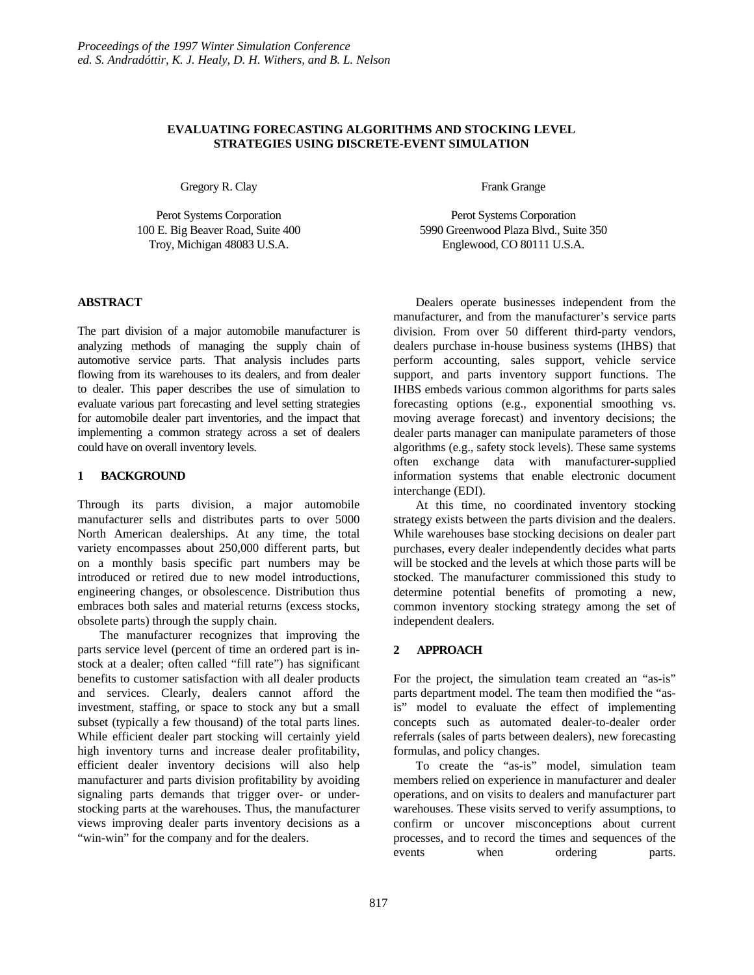### **EVALUATING FORECASTING ALGORITHMS AND STOCKING LEVEL STRATEGIES USING DISCRETE-EVENT SIMULATION**

Gregory R. Clay

Perot Systems Corporation 100 E. Big Beaver Road, Suite 400 Troy, Michigan 48083 U.S.A.

#### **ABSTRACT**

The part division of a major automobile manufacturer is analyzing methods of managing the supply chain of automotive service parts. That analysis includes parts flowing from its warehouses to its dealers, and from dealer to dealer. This paper describes the use of simulation to evaluate various part forecasting and level setting strategies for automobile dealer part inventories, and the impact that implementing a common strategy across a set of dealers could have on overall inventory levels.

### **1 BACKGROUND**

Through its parts division, a major automobile manufacturer sells and distributes parts to over 5000 North American dealerships. At any time, the total variety encompasses about 250,000 different parts, but on a monthly basis specific part numbers may be introduced or retired due to new model introductions, engineering changes, or obsolescence. Distribution thus embraces both sales and material returns (excess stocks, obsolete parts) through the supply chain.

The manufacturer recognizes that improving the parts service level (percent of time an ordered part is instock at a dealer; often called "fill rate") has significant benefits to customer satisfaction with all dealer products and services. Clearly, dealers cannot afford the investment, staffing, or space to stock any but a small subset (typically a few thousand) of the total parts lines. While efficient dealer part stocking will certainly yield high inventory turns and increase dealer profitability, efficient dealer inventory decisions will also help manufacturer and parts division profitability by avoiding signaling parts demands that trigger over- or understocking parts at the warehouses. Thus, the manufacturer views improving dealer parts inventory decisions as a "win-win" for the company and for the dealers.

Frank Grange

Perot Systems Corporation 5990 Greenwood Plaza Blvd., Suite 350 Englewood, CO 80111 U.S.A.

Dealers operate businesses independent from the manufacturer, and from the manufacturer's service parts division. From over 50 different third-party vendors, dealers purchase in-house business systems (IHBS) that perform accounting, sales support, vehicle service support, and parts inventory support functions. The IHBS embeds various common algorithms for parts sales forecasting options (e.g., exponential smoothing vs. moving average forecast) and inventory decisions; the dealer parts manager can manipulate parameters of those algorithms (e.g., safety stock levels). These same systems often exchange data with manufacturer-supplied information systems that enable electronic document interchange (EDI).

At this time, no coordinated inventory stocking strategy exists between the parts division and the dealers. While warehouses base stocking decisions on dealer part purchases, every dealer independently decides what parts will be stocked and the levels at which those parts will be stocked. The manufacturer commissioned this study to determine potential benefits of promoting a new, common inventory stocking strategy among the set of independent dealers.

# **2 APPROACH**

For the project, the simulation team created an "as-is" parts department model. The team then modified the "asis" model to evaluate the effect of implementing concepts such as automated dealer-to-dealer order referrals (sales of parts between dealers), new forecasting formulas, and policy changes.

To create the "as-is" model, simulation team members relied on experience in manufacturer and dealer operations, and on visits to dealers and manufacturer part warehouses. These visits served to verify assumptions, to confirm or uncover misconceptions about current processes, and to record the times and sequences of the events when ordering parts.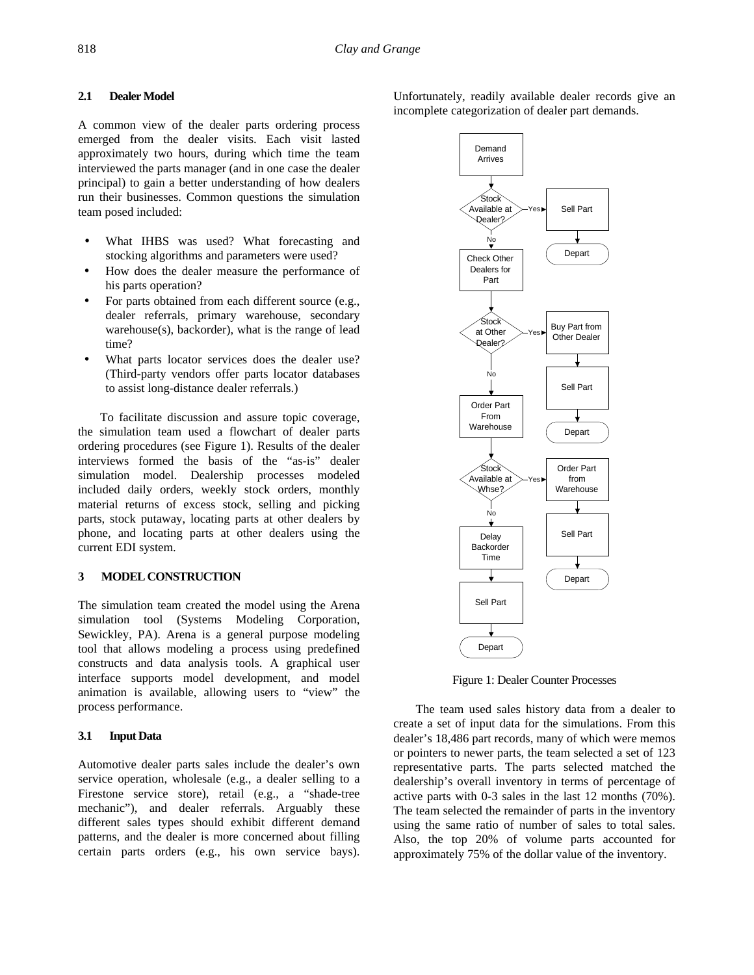### **2.1 Dealer Model**

A common view of the dealer parts ordering process emerged from the dealer visits. Each visit lasted approximately two hours, during which time the team interviewed the parts manager (and in one case the dealer principal) to gain a better understanding of how dealers run their businesses. Common questions the simulation team posed included:

- What IHBS was used? What forecasting and stocking algorithms and parameters were used?
- How does the dealer measure the performance of his parts operation?
- For parts obtained from each different source (e.g., dealer referrals, primary warehouse, secondary warehouse(s), backorder), what is the range of lead time?
- What parts locator services does the dealer use? (Third-party vendors offer parts locator databases to assist long-distance dealer referrals.)

To facilitate discussion and assure topic coverage, the simulation team used a flowchart of dealer parts ordering procedures (see Figure 1). Results of the dealer interviews formed the basis of the "as-is" dealer simulation model. Dealership processes modeled included daily orders, weekly stock orders, monthly material returns of excess stock, selling and picking parts, stock putaway, locating parts at other dealers by phone, and locating parts at other dealers using the current EDI system.

### **3 MODEL CONSTRUCTION**

The simulation team created the model using the Arena simulation tool (Systems Modeling Corporation, Sewickley, PA). Arena is a general purpose modeling tool that allows modeling a process using predefined constructs and data analysis tools. A graphical user interface supports model development, and model animation is available, allowing users to "view" the process performance.

#### **3.1 Input Data**

Automotive dealer parts sales include the dealer's own service operation, wholesale (e.g., a dealer selling to a Firestone service store), retail (e.g., a "shade-tree mechanic"), and dealer referrals. Arguably these different sales types should exhibit different demand patterns, and the dealer is more concerned about filling certain parts orders (e.g., his own service bays).

Unfortunately, readily available dealer records give an incomplete categorization of dealer part demands.



Figure 1: Dealer Counter Processes

The team used sales history data from a dealer to create a set of input data for the simulations. From this dealer's 18,486 part records, many of which were memos or pointers to newer parts, the team selected a set of 123 representative parts. The parts selected matched the dealership's overall inventory in terms of percentage of active parts with 0-3 sales in the last 12 months (70%). The team selected the remainder of parts in the inventory using the same ratio of number of sales to total sales. Also, the top 20% of volume parts accounted for approximately 75% of the dollar value of the inventory.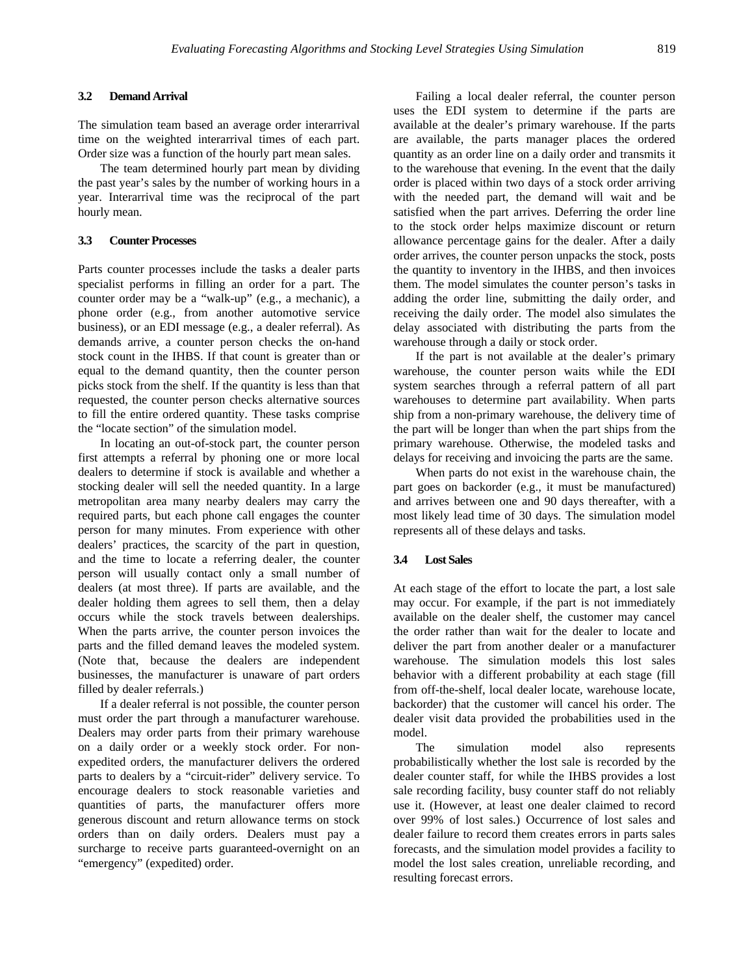### **3.2 Demand Arrival**

The simulation team based an average order interarrival time on the weighted interarrival times of each part. Order size was a function of the hourly part mean sales.

The team determined hourly part mean by dividing the past year's sales by the number of working hours in a year. Interarrival time was the reciprocal of the part hourly mean.

#### **3.3 Counter Processes**

Parts counter processes include the tasks a dealer parts specialist performs in filling an order for a part. The counter order may be a "walk-up" (e.g., a mechanic), a phone order (e.g., from another automotive service business), or an EDI message (e.g., a dealer referral). As demands arrive, a counter person checks the on-hand stock count in the IHBS. If that count is greater than or equal to the demand quantity, then the counter person picks stock from the shelf. If the quantity is less than that requested, the counter person checks alternative sources to fill the entire ordered quantity. These tasks comprise the "locate section" of the simulation model.

In locating an out-of-stock part, the counter person first attempts a referral by phoning one or more local dealers to determine if stock is available and whether a stocking dealer will sell the needed quantity. In a large metropolitan area many nearby dealers may carry the required parts, but each phone call engages the counter person for many minutes. From experience with other dealers' practices, the scarcity of the part in question, and the time to locate a referring dealer, the counter person will usually contact only a small number of dealers (at most three). If parts are available, and the dealer holding them agrees to sell them, then a delay occurs while the stock travels between dealerships. When the parts arrive, the counter person invoices the parts and the filled demand leaves the modeled system. (Note that, because the dealers are independent businesses, the manufacturer is unaware of part orders filled by dealer referrals.)

If a dealer referral is not possible, the counter person must order the part through a manufacturer warehouse. Dealers may order parts from their primary warehouse on a daily order or a weekly stock order. For nonexpedited orders, the manufacturer delivers the ordered parts to dealers by a "circuit-rider" delivery service. To encourage dealers to stock reasonable varieties and quantities of parts, the manufacturer offers more generous discount and return allowance terms on stock orders than on daily orders. Dealers must pay a surcharge to receive parts guaranteed-overnight on an "emergency" (expedited) order.

Failing a local dealer referral, the counter person uses the EDI system to determine if the parts are available at the dealer's primary warehouse. If the parts are available, the parts manager places the ordered quantity as an order line on a daily order and transmits it to the warehouse that evening. In the event that the daily order is placed within two days of a stock order arriving with the needed part, the demand will wait and be satisfied when the part arrives. Deferring the order line to the stock order helps maximize discount or return allowance percentage gains for the dealer. After a daily order arrives, the counter person unpacks the stock, posts the quantity to inventory in the IHBS, and then invoices them. The model simulates the counter person's tasks in adding the order line, submitting the daily order, and receiving the daily order. The model also simulates the delay associated with distributing the parts from the warehouse through a daily or stock order.

If the part is not available at the dealer's primary warehouse, the counter person waits while the EDI system searches through a referral pattern of all part warehouses to determine part availability. When parts ship from a non-primary warehouse, the delivery time of the part will be longer than when the part ships from the primary warehouse. Otherwise, the modeled tasks and delays for receiving and invoicing the parts are the same.

When parts do not exist in the warehouse chain, the part goes on backorder (e.g., it must be manufactured) and arrives between one and 90 days thereafter, with a most likely lead time of 30 days. The simulation model represents all of these delays and tasks.

#### **3.4 Lost Sales**

At each stage of the effort to locate the part, a lost sale may occur. For example, if the part is not immediately available on the dealer shelf, the customer may cancel the order rather than wait for the dealer to locate and deliver the part from another dealer or a manufacturer warehouse. The simulation models this lost sales behavior with a different probability at each stage (fill from off-the-shelf, local dealer locate, warehouse locate, backorder) that the customer will cancel his order. The dealer visit data provided the probabilities used in the model.

The simulation model also represents probabilistically whether the lost sale is recorded by the dealer counter staff, for while the IHBS provides a lost sale recording facility, busy counter staff do not reliably use it. (However, at least one dealer claimed to record over 99% of lost sales.) Occurrence of lost sales and dealer failure to record them creates errors in parts sales forecasts, and the simulation model provides a facility to model the lost sales creation, unreliable recording, and resulting forecast errors.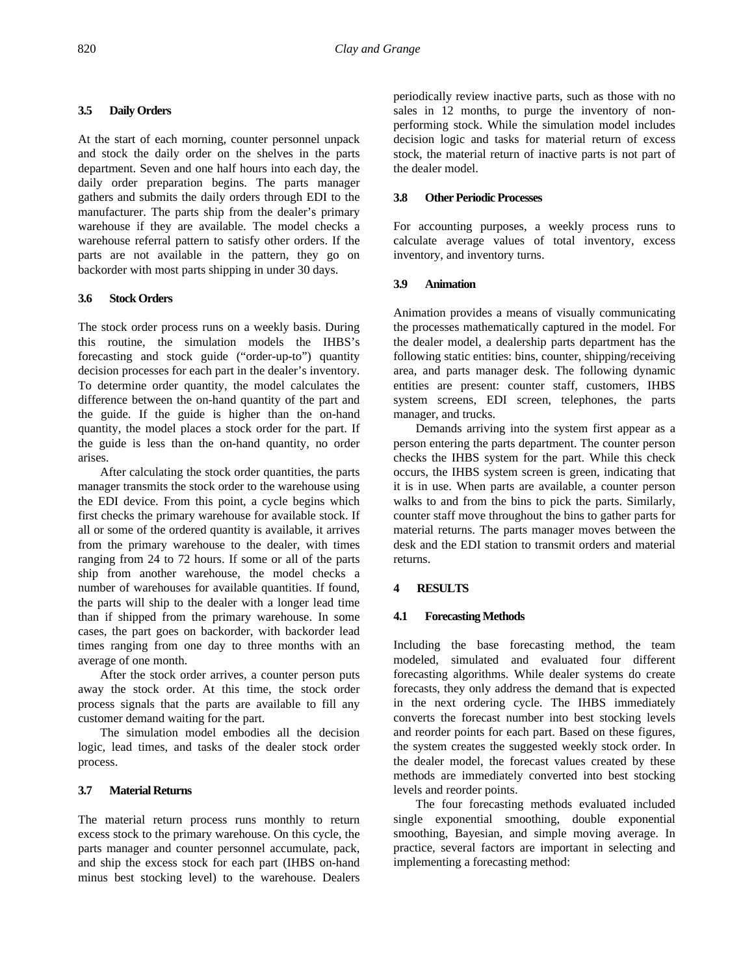# **3.5 Daily Orders**

At the start of each morning, counter personnel unpack and stock the daily order on the shelves in the parts department. Seven and one half hours into each day, the daily order preparation begins. The parts manager gathers and submits the daily orders through EDI to the manufacturer. The parts ship from the dealer's primary warehouse if they are available. The model checks a warehouse referral pattern to satisfy other orders. If the parts are not available in the pattern, they go on backorder with most parts shipping in under 30 days.

### **3.6 Stock Orders**

The stock order process runs on a weekly basis. During this routine, the simulation models the IHBS's forecasting and stock guide ("order-up-to") quantity decision processes for each part in the dealer's inventory. To determine order quantity, the model calculates the difference between the on-hand quantity of the part and the guide. If the guide is higher than the on-hand quantity, the model places a stock order for the part. If the guide is less than the on-hand quantity, no order arises.

After calculating the stock order quantities, the parts manager transmits the stock order to the warehouse using the EDI device. From this point, a cycle begins which first checks the primary warehouse for available stock. If all or some of the ordered quantity is available, it arrives from the primary warehouse to the dealer, with times ranging from 24 to 72 hours. If some or all of the parts ship from another warehouse, the model checks a number of warehouses for available quantities. If found, the parts will ship to the dealer with a longer lead time than if shipped from the primary warehouse. In some cases, the part goes on backorder, with backorder lead times ranging from one day to three months with an average of one month.

After the stock order arrives, a counter person puts away the stock order. At this time, the stock order process signals that the parts are available to fill any customer demand waiting for the part.

The simulation model embodies all the decision logic, lead times, and tasks of the dealer stock order process.

# **3.7 Material Returns**

The material return process runs monthly to return excess stock to the primary warehouse. On this cycle, the parts manager and counter personnel accumulate, pack, and ship the excess stock for each part (IHBS on-hand minus best stocking level) to the warehouse. Dealers

periodically review inactive parts, such as those with no sales in 12 months, to purge the inventory of nonperforming stock. While the simulation model includes decision logic and tasks for material return of excess stock, the material return of inactive parts is not part of the dealer model.

### **3.8 Other Periodic Processes**

For accounting purposes, a weekly process runs to calculate average values of total inventory, excess inventory, and inventory turns.

### **3.9 Animation**

Animation provides a means of visually communicating the processes mathematically captured in the model. For the dealer model, a dealership parts department has the following static entities: bins, counter, shipping/receiving area, and parts manager desk. The following dynamic entities are present: counter staff, customers, IHBS system screens, EDI screen, telephones, the parts manager, and trucks.

Demands arriving into the system first appear as a person entering the parts department. The counter person checks the IHBS system for the part. While this check occurs, the IHBS system screen is green, indicating that it is in use. When parts are available, a counter person walks to and from the bins to pick the parts. Similarly, counter staff move throughout the bins to gather parts for material returns. The parts manager moves between the desk and the EDI station to transmit orders and material returns.

# **4 RESULTS**

# **4.1 Forecasting Methods**

Including the base forecasting method, the team modeled, simulated and evaluated four different forecasting algorithms. While dealer systems do create forecasts, they only address the demand that is expected in the next ordering cycle. The IHBS immediately converts the forecast number into best stocking levels and reorder points for each part. Based on these figures, the system creates the suggested weekly stock order. In the dealer model, the forecast values created by these methods are immediately converted into best stocking levels and reorder points.

The four forecasting methods evaluated included single exponential smoothing, double exponential smoothing, Bayesian, and simple moving average. In practice, several factors are important in selecting and implementing a forecasting method: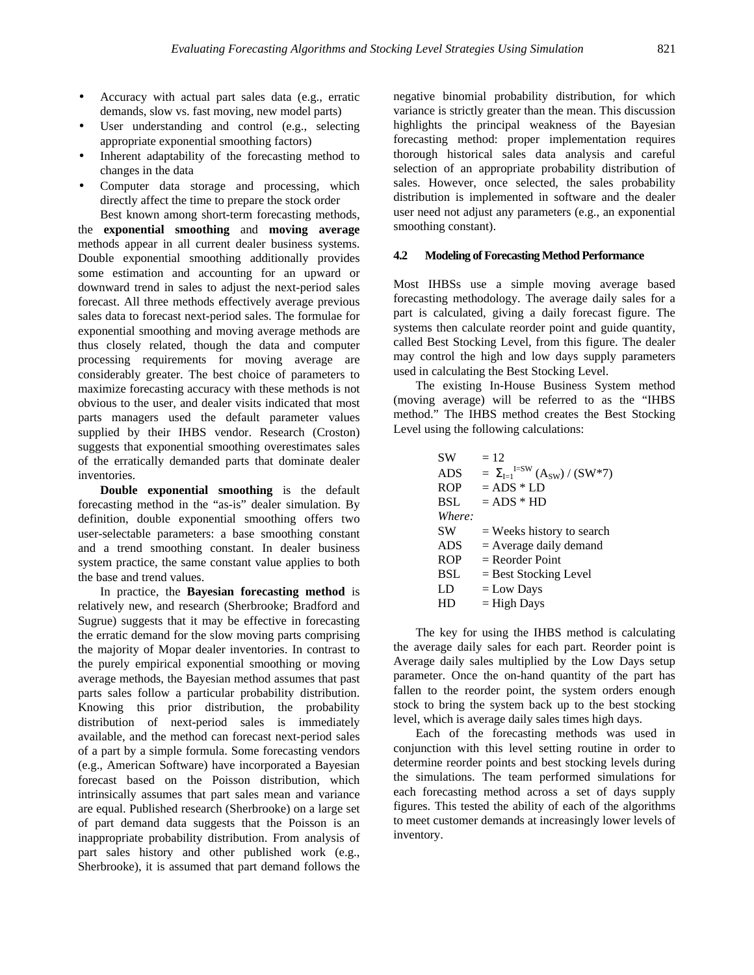- Accuracy with actual part sales data (e.g., erratic demands, slow vs. fast moving, new model parts)
- User understanding and control (e.g., selecting appropriate exponential smoothing factors)
- Inherent adaptability of the forecasting method to changes in the data
- Computer data storage and processing, which directly affect the time to prepare the stock order Best known among short-term forecasting methods,

the **exponential smoothing** and **moving average** methods appear in all current dealer business systems. Double exponential smoothing additionally provides some estimation and accounting for an upward or downward trend in sales to adjust the next-period sales forecast. All three methods effectively average previous sales data to forecast next-period sales. The formulae for exponential smoothing and moving average methods are thus closely related, though the data and computer processing requirements for moving average are considerably greater. The best choice of parameters to maximize forecasting accuracy with these methods is not obvious to the user, and dealer visits indicated that most parts managers used the default parameter values supplied by their IHBS vendor. Research (Croston) suggests that exponential smoothing overestimates sales of the erratically demanded parts that dominate dealer inventories.

**Double exponential smoothing** is the default forecasting method in the "as-is" dealer simulation. By definition, double exponential smoothing offers two user-selectable parameters: a base smoothing constant and a trend smoothing constant. In dealer business system practice, the same constant value applies to both the base and trend values.

In practice, the **Bayesian forecasting method** is relatively new, and research (Sherbrooke; Bradford and Sugrue) suggests that it may be effective in forecasting the erratic demand for the slow moving parts comprising the majority of Mopar dealer inventories. In contrast to the purely empirical exponential smoothing or moving average methods, the Bayesian method assumes that past parts sales follow a particular probability distribution. Knowing this prior distribution, the probability distribution of next-period sales is immediately available, and the method can forecast next-period sales of a part by a simple formula. Some forecasting vendors (e.g., American Software) have incorporated a Bayesian forecast based on the Poisson distribution, which intrinsically assumes that part sales mean and variance are equal. Published research (Sherbrooke) on a large set of part demand data suggests that the Poisson is an inappropriate probability distribution. From analysis of part sales history and other published work (e.g., Sherbrooke), it is assumed that part demand follows the

negative binomial probability distribution, for which variance is strictly greater than the mean. This discussion highlights the principal weakness of the Bayesian forecasting method: proper implementation requires thorough historical sales data analysis and careful selection of an appropriate probability distribution of sales. However, once selected, the sales probability distribution is implemented in software and the dealer user need not adjust any parameters (e.g., an exponential smoothing constant).

#### **4.2 Modeling of Forecasting Method Performance**

Most IHBSs use a simple moving average based forecasting methodology. The average daily sales for a part is calculated, giving a daily forecast figure. The systems then calculate reorder point and guide quantity, called Best Stocking Level, from this figure. The dealer may control the high and low days supply parameters used in calculating the Best Stocking Level.

The existing In-House Business System method (moving average) will be referred to as the "IHBS method." The IHBS method creates the Best Stocking Level using the following calculations:

| <b>SW</b>  | $=12$                                     |
|------------|-------------------------------------------|
| <b>ADS</b> | $= \Sigma_{I=1}^{I=SW} (A_{SW}) / (SW*7)$ |
| <b>ROP</b> | $=$ ADS $*$ LD                            |
| <b>BSL</b> | $=$ ADS $*$ HD                            |
| Where:     |                                           |
| <b>SW</b>  | $=$ Weeks history to search               |
| <b>ADS</b> | $=$ Average daily demand                  |
| <b>ROP</b> | $=$ Reorder Point                         |
| <b>BSL</b> | $=$ Best Stocking Level                   |
| LD         | $=$ Low Days                              |
| HD         | $=$ High Days                             |

The key for using the IHBS method is calculating the average daily sales for each part. Reorder point is Average daily sales multiplied by the Low Days setup parameter. Once the on-hand quantity of the part has fallen to the reorder point, the system orders enough stock to bring the system back up to the best stocking level, which is average daily sales times high days.

Each of the forecasting methods was used in conjunction with this level setting routine in order to determine reorder points and best stocking levels during the simulations. The team performed simulations for each forecasting method across a set of days supply figures. This tested the ability of each of the algorithms to meet customer demands at increasingly lower levels of inventory.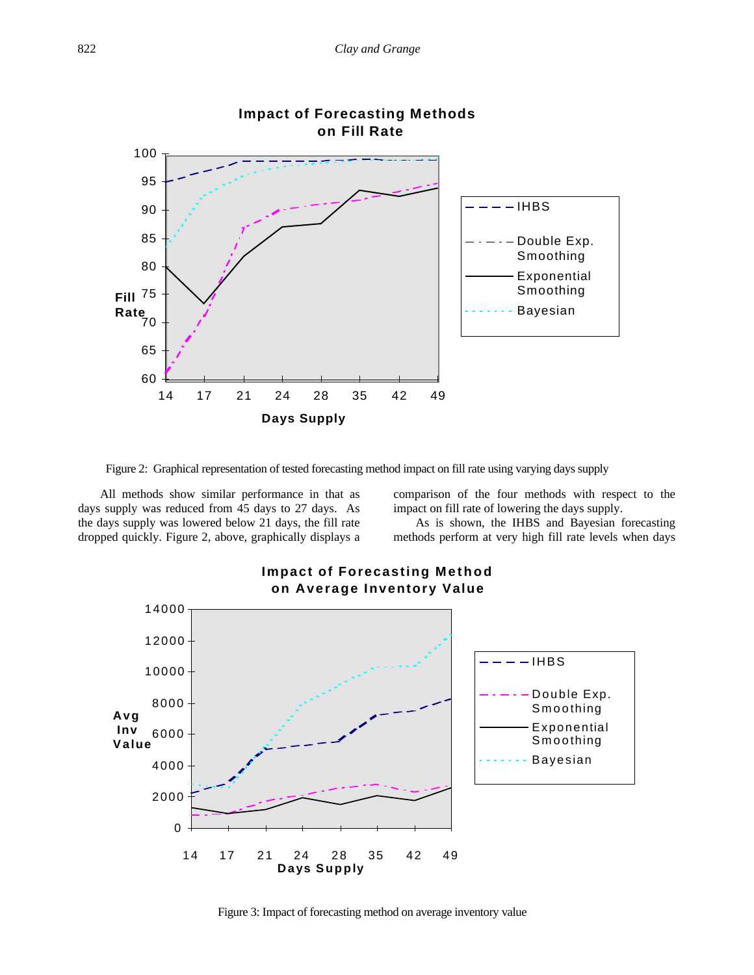

Figure 2: Graphical representation of tested forecasting method impact on fill rate using varying days supply

All methods show similar performance in that as days supply was reduced from 45 days to 27 days. As the days supply was lowered below 21 days, the fill rate dropped quickly. Figure 2, above, graphically displays a comparison of the four methods with respect to the impact on fill rate of lowering the days supply.

As is shown, the IHBS and Bayesian forecasting methods perform at very high fill rate levels when days



# **Impact of Forecasting Method on Average Inventory Value**

Figure 3: Impact of forecasting method on average inventory value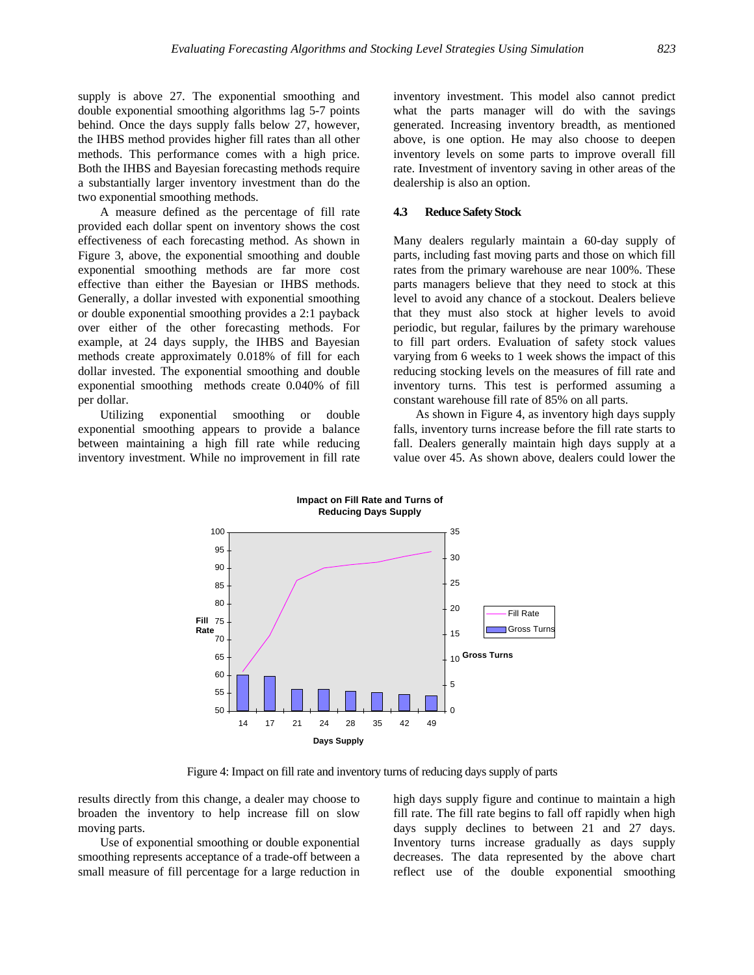supply is above 27. The exponential smoothing and double exponential smoothing algorithms lag 5-7 points behind. Once the days supply falls below 27, however, the IHBS method provides higher fill rates than all other methods. This performance comes with a high price. Both the IHBS and Bayesian forecasting methods require a substantially larger inventory investment than do the two exponential smoothing methods.

A measure defined as the percentage of fill rate provided each dollar spent on inventory shows the cost effectiveness of each forecasting method. As shown in Figure 3, above, the exponential smoothing and double exponential smoothing methods are far more cost effective than either the Bayesian or IHBS methods. Generally, a dollar invested with exponential smoothing or double exponential smoothing provides a 2:1 payback over either of the other forecasting methods. For example, at 24 days supply, the IHBS and Bayesian methods create approximately 0.018% of fill for each dollar invested. The exponential smoothing and double exponential smoothing methods create 0.040% of fill per dollar.

Utilizing exponential smoothing or double exponential smoothing appears to provide a balance between maintaining a high fill rate while reducing inventory investment. While no improvement in fill rate

inventory investment. This model also cannot predict what the parts manager will do with the savings generated. Increasing inventory breadth, as mentioned above, is one option. He may also choose to deepen inventory levels on some parts to improve overall fill rate. Investment of inventory saving in other areas of the dealership is also an option.

#### **4.3 Reduce Safety Stock**

Many dealers regularly maintain a 60-day supply of parts, including fast moving parts and those on which fill rates from the primary warehouse are near 100%. These parts managers believe that they need to stock at this level to avoid any chance of a stockout. Dealers believe that they must also stock at higher levels to avoid periodic, but regular, failures by the primary warehouse to fill part orders. Evaluation of safety stock values varying from 6 weeks to 1 week shows the impact of this reducing stocking levels on the measures of fill rate and inventory turns. This test is performed assuming a constant warehouse fill rate of 85% on all parts.

As shown in Figure 4, as inventory high days supply falls, inventory turns increase before the fill rate starts to fall. Dealers generally maintain high days supply at a value over 45. As shown above, dealers could lower the



Figure 4: Impact on fill rate and inventory turns of reducing days supply of parts

results directly from this change, a dealer may choose to broaden the inventory to help increase fill on slow moving parts.

Use of exponential smoothing or double exponential smoothing represents acceptance of a trade-off between a small measure of fill percentage for a large reduction in

high days supply figure and continue to maintain a high fill rate. The fill rate begins to fall off rapidly when high days supply declines to between 21 and 27 days. Inventory turns increase gradually as days supply decreases. The data represented by the above chart reflect use of the double exponential smoothing